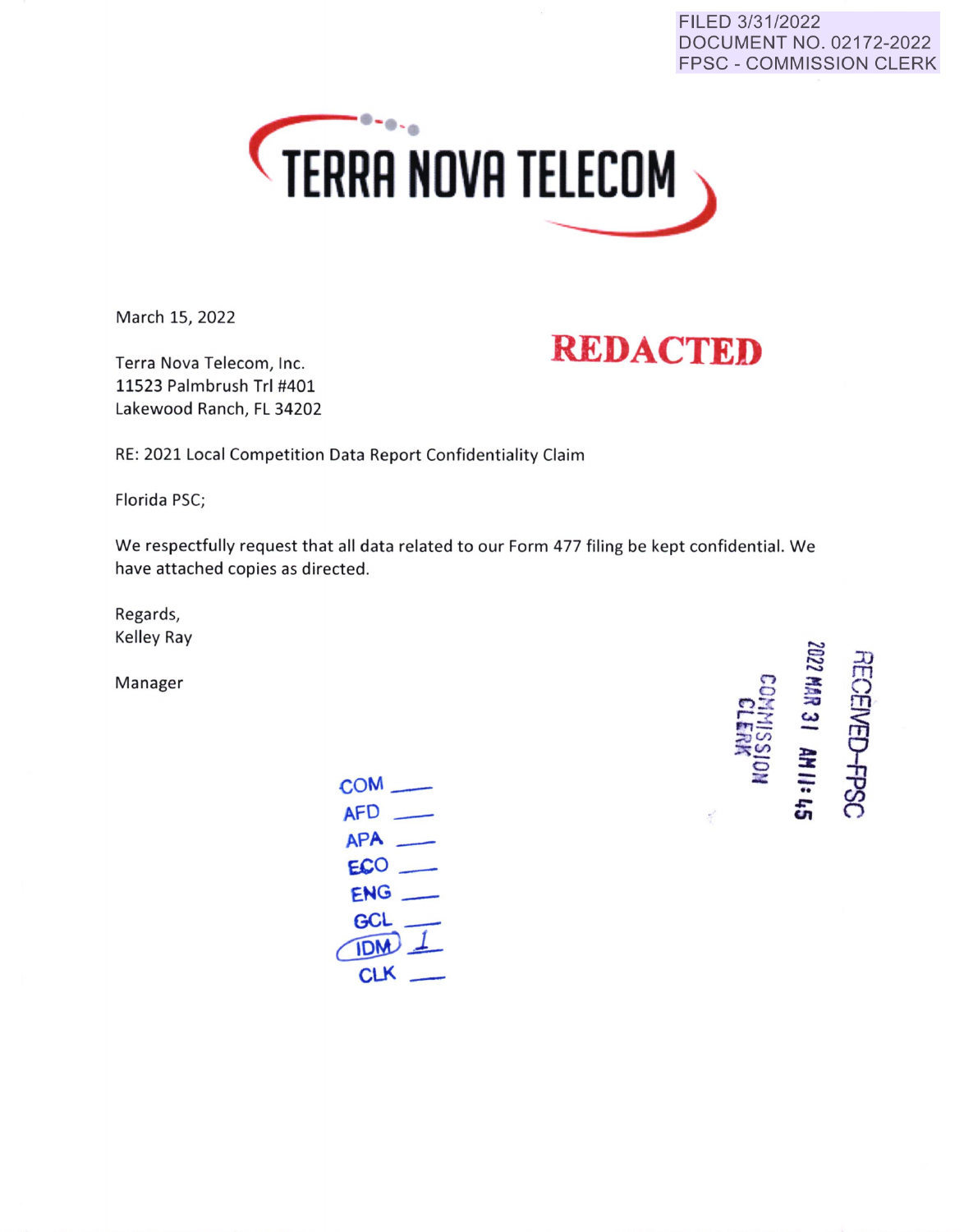#### FILED 3/31/2022 DOCUMENT NO. 02172-2022 FPSC - COMMISSION CLERK



March 15, 2022

# **REDACTED**

Terra Nova Telecom, Inc. 11523 Palmbrush Tri #401 Lakewood Ranch, FL 34202

RE: 2021 Local Competition Data Report Confidentiality Claim

Florida PSC;

We respectfully request that all data related to our Form 477 filing be kept confidential. We have attached copies as directed.

Regards, Kelley Ray

Manager

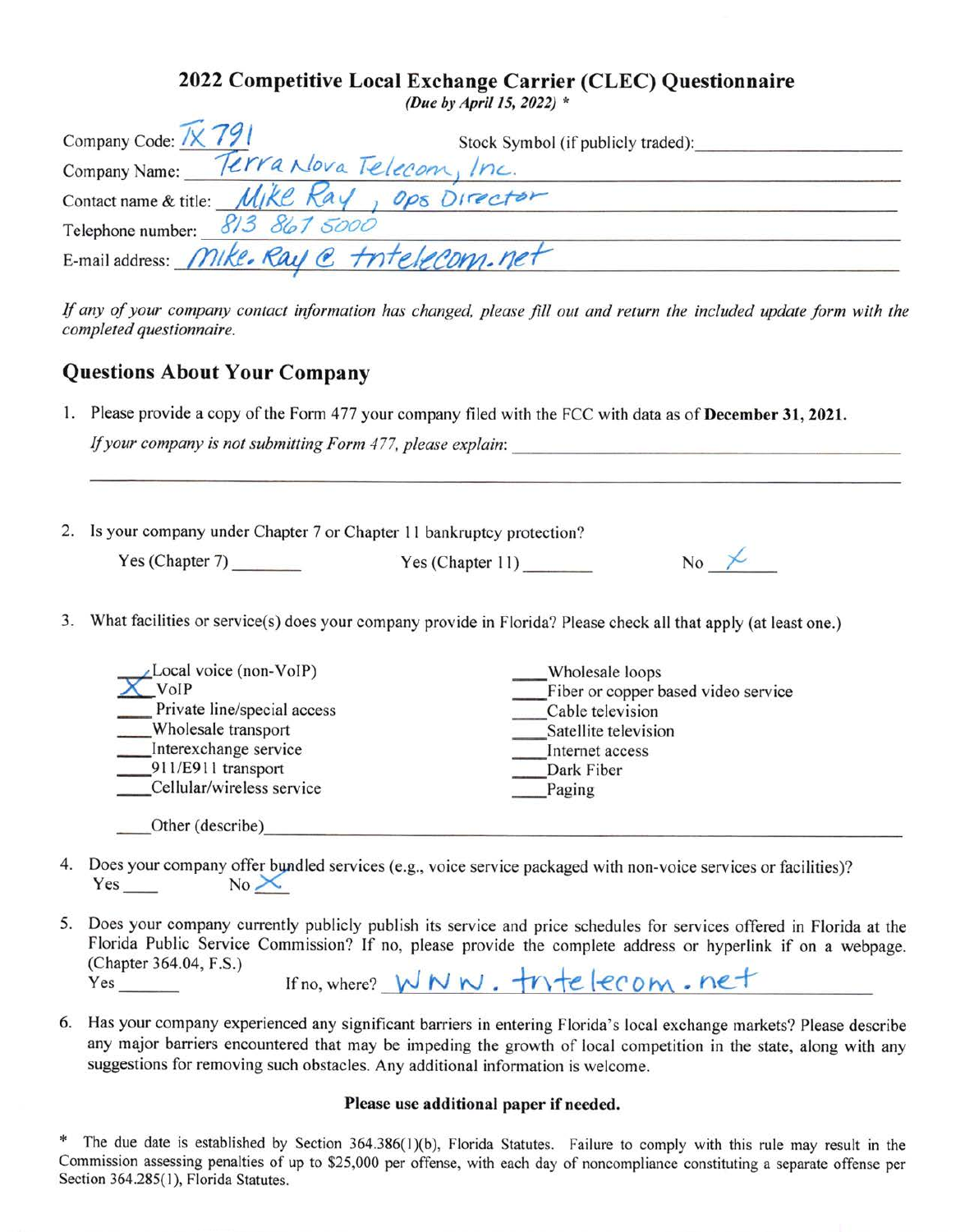### **2022 Competitive Local Exchange Carrier (CLEC) Questionnaire**

*(Due by April 15, 2022)* \*

| Company Code: 1X 791                                 | Stock Symbol (if publicly traded): |
|------------------------------------------------------|------------------------------------|
| Company Name: Terra Nova Telecom, Inc.               |                                    |
| Contact name & title: <i>Mike Ray</i> , ops Director |                                    |
| Telephone number: 813 867 5000                       |                                    |
| E-mail address: Mike. Ray @ tritelecom.net           |                                    |

If *any of your company contact information has changed, please fill out and return the included update form with the completed questionnaire.* 

### **Questions About Your Company**

1. Please provide a copy of the Form 477 your company filed with the FCC with data as of **December 31, 2021.** 

If your company is not submitting Form 477, please explain:

| 2. Is your company under Chapter 7 or Chapter 11 bankruptcy protection? |                  |                                               |  |
|-------------------------------------------------------------------------|------------------|-----------------------------------------------|--|
| Yes (Chapter 7)                                                         | Yes (Chapter 11) | N <sub>o</sub><br>$\overline{\smash{\times}}$ |  |

3. What facilities or service(s) does your company provide in Florida? Please check all that apply (at least one.)

| Local voice (non-VoIP)      | Wholesale loops                     |
|-----------------------------|-------------------------------------|
| VoIP                        | Fiber or copper based video service |
| Private line/special access | Cable television                    |
| Wholesale transport         | Satellite television                |
| Interexchange service       | Internet access                     |
| 911/E911 transport          | Dark Fiber                          |
| Cellular/wireless service   | Paging                              |
| Other (describe)            |                                     |

- 4. Does your company offer bundled services (e.g., voice service packaged with non-voice services or facilities)?  $Yes$  No $\times$
- 5. Does your company currently publicly publish its service and price schedules for services offered in Florida at the Florida Public Service Commission? If no, please provide the complete address or hyperlink if on a webpage. (Chapter 364.04, F.S.)  $Yes$  If no, where?  $WW \cdot \frac{1}{T}$  .  $\frac{1}{T}$  . net
- 6. Has your company experienced any significant barriers in entering Florida's local exchange markets? Please describe any major barriers encountered that may be impeding the growth of local competition in the state, along with any suggestions for removing such obstacles. Any additional information is welcome.

#### **Please use additional paper if needed.**

The due date is established by Section 364.386(1)(b), Florida Statutes. Failure to comply with this rule may result in the Commission assessing penalties of up to \$25,000 per offense, with each day of noncompliance constituting a separate offense per Section 364.285(1), Florida Statutes.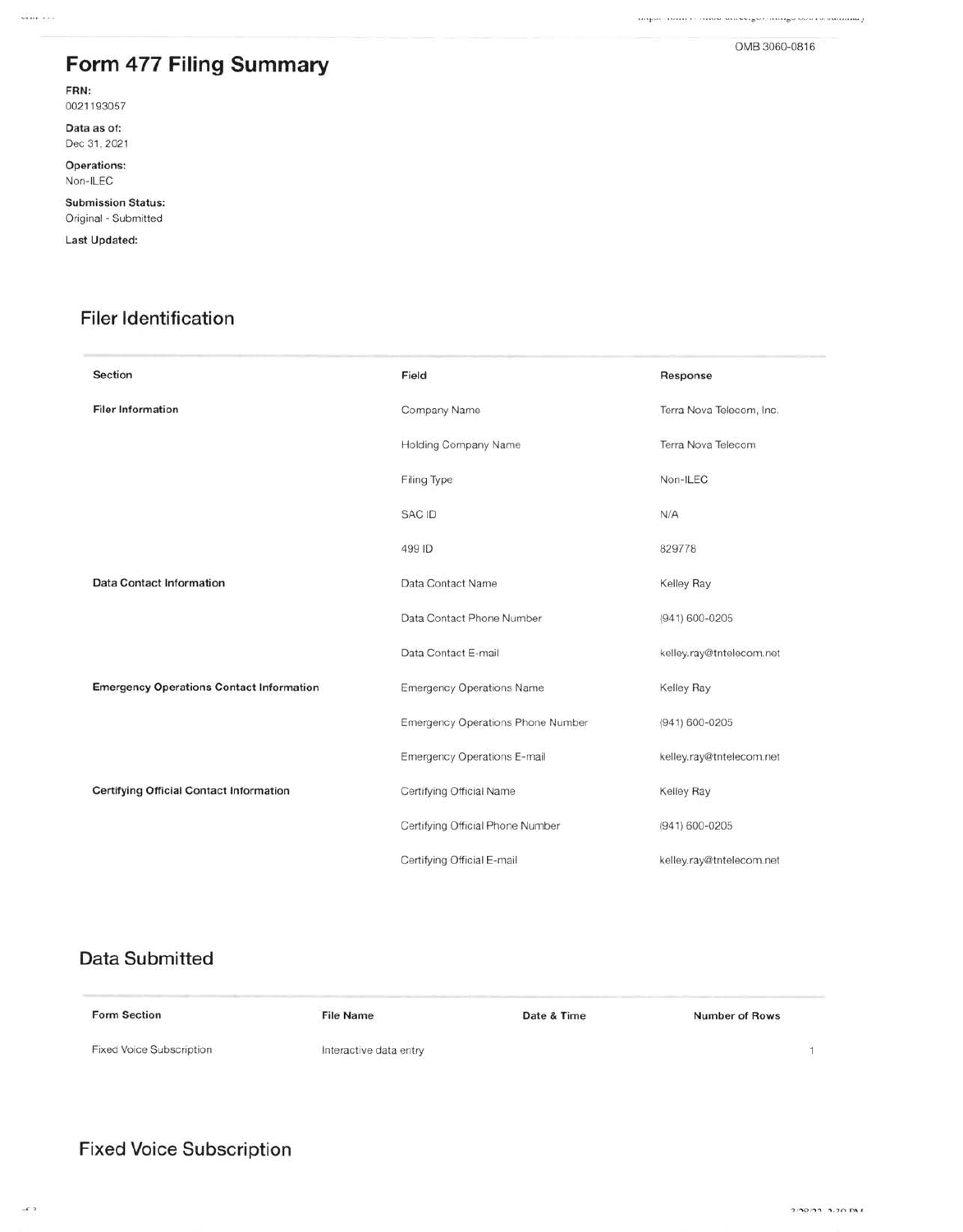$\ldots \qquad \qquad \ldots \qquad \qquad \ldots \qquad \qquad \ldots \qquad \qquad \ldots \qquad \qquad \ldots \qquad \qquad \ldots \qquad \qquad \ldots \qquad \qquad \ldots \qquad \qquad \ldots \qquad \qquad \ldots \qquad \qquad \ldots \qquad \qquad \ldots \qquad \qquad \ldots \qquad \qquad \ldots \qquad \qquad \ldots \qquad \qquad \ldots \qquad \qquad \ldots \qquad \qquad \ldots \qquad \qquad \ldots \qquad \qquad \ldots \qquad \qquad \ldots \qquad \qquad \ldots \qquad \qquad \ldots \qquad \qquad \ldots \$ 

## Form 477 Filing Summary

FRN:

0021193057

Data as of: Dec 31, 2021

Operations: Non-ILEC

**Submission Status:** Original - Submitted

Last Updated:

### **Filer Identification**

| <b>Section</b>                                  | Field                              | Response                 |  |
|-------------------------------------------------|------------------------------------|--------------------------|--|
| <b>Filer Information</b>                        | Company Name                       | Terra Nova Telecom, Inc. |  |
|                                                 | <b>Holding Company Name</b>        | Terra Nova Telecom       |  |
|                                                 | Filing Type                        | Non-ILEC                 |  |
|                                                 | <b>SAC ID</b>                      | N/A                      |  |
|                                                 | 499 ID                             | 829778                   |  |
| <b>Data Contact Information</b>                 | Data Contact Name                  | Kelley Ray               |  |
|                                                 | Data Contact Phone Number          | $(941) 600 - 0205$       |  |
|                                                 | Data Contact E-mail                | kelley.ray@tntelecom.net |  |
| <b>Emergency Operations Contact Information</b> | <b>Emergency Operations Name</b>   | Kelley Ray               |  |
|                                                 | Emergency Operations Phone Number  | (941) 600-0205           |  |
|                                                 | <b>Emergency Operations E-mail</b> | kelley.ray@tntelecom.net |  |
| <b>Certifying Official Contact Information</b>  | Certifying Official Name           | Kelley Ray               |  |
|                                                 | Certifying Official Phone Number   | $(941) 600 - 0205$       |  |
|                                                 | Certifying Official E-mail         | kelley.ray@tntelecom.net |  |

### **Data Submitted**

| <b>Form Section</b><br>지수는 아이들이 아니다 나는 아이들이 아이를 한 | <b>File Name</b>                                                                                                                                                                                                                                        | Date & Time | <b>Number of Rows</b> |
|---------------------------------------------------|---------------------------------------------------------------------------------------------------------------------------------------------------------------------------------------------------------------------------------------------------------|-------------|-----------------------|
| Fixed Voice Subscription                          | Interactive data entry<br>the control of the control of the control of the control of the control of the control of the control of the control of the control of the control of the control of the control of the control of the control of the control |             |                       |

#### **Fixed Voice Subscription**